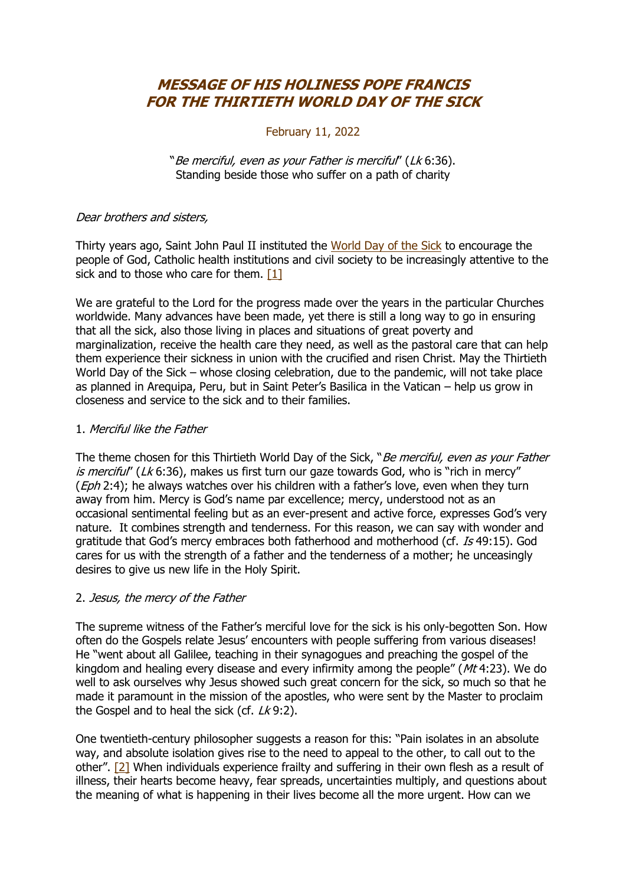# **MESSAGE OF HIS HOLINESS POPE FRANCIS FOR THE THIRTIETH WORLD DAY OF THE SICK**

#### February 11, 2022

"Be merciful, even as your Father is merciful" (Lk 6:36). Standing beside those who suffer on a path of charity

#### Dear brothers and sisters,

Thirty years ago, Saint John Paul II instituted the [World Day of the Sick](https://www.vatican.va/content/john-paul-ii/en/messages/sick.index.html) to encourage the people of God, Catholic health institutions and civil society to be increasingly attentive to the sick and to those who care for them. [\[1\]](https://www.vatican.va/content/francesco/en/messages/sick/documents/20211210_30-giornata-malato.html#_ftn1)

We are grateful to the Lord for the progress made over the years in the particular Churches worldwide. Many advances have been made, yet there is still a long way to go in ensuring that all the sick, also those living in places and situations of great poverty and marginalization, receive the health care they need, as well as the pastoral care that can help them experience their sickness in union with the crucified and risen Christ. May the Thirtieth World Day of the Sick – whose closing celebration, due to the pandemic, will not take place as planned in Arequipa, Peru, but in Saint Peter's Basilica in the Vatican – help us grow in closeness and service to the sick and to their families.

#### 1. Merciful like the Father

The theme chosen for this Thirtieth World Day of the Sick, "Be merciful, even as your Father is merciful" (Lk 6:36), makes us first turn our gaze towards God, who is "rich in mercy" (*Eph* 2:4); he always watches over his children with a father's love, even when they turn away from him. Mercy is God's name par excellence; mercy, understood not as an occasional sentimental feeling but as an ever-present and active force, expresses God's very nature. It combines strength and tenderness. For this reason, we can say with wonder and gratitude that God's mercy embraces both fatherhood and motherhood (cf. Is 49:15). God cares for us with the strength of a father and the tenderness of a mother; he unceasingly desires to give us new life in the Holy Spirit.

#### 2. Jesus, the mercy of the Father

The supreme witness of the Father's merciful love for the sick is his only-begotten Son. How often do the Gospels relate Jesus' encounters with people suffering from various diseases! He "went about all Galilee, teaching in their synagogues and preaching the gospel of the kingdom and healing every disease and every infirmity among the people" ( $Mt$  4:23). We do well to ask ourselves why Jesus showed such great concern for the sick, so much so that he made it paramount in the mission of the apostles, who were sent by the Master to proclaim the Gospel and to heal the sick (cf.  $Lk$ 9:2).

One twentieth-century philosopher suggests a reason for this: "Pain isolates in an absolute way, and absolute isolation gives rise to the need to appeal to the other, to call out to the other". [\[2\]](https://www.vatican.va/content/francesco/en/messages/sick/documents/20211210_30-giornata-malato.html#_ftn2) When individuals experience frailty and suffering in their own flesh as a result of illness, their hearts become heavy, fear spreads, uncertainties multiply, and questions about the meaning of what is happening in their lives become all the more urgent. How can we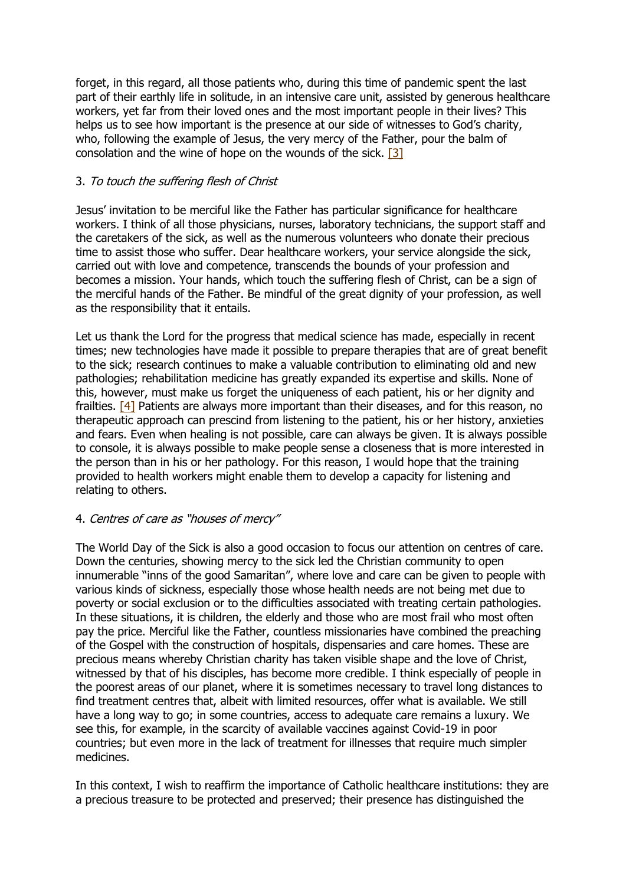forget, in this regard, all those patients who, during this time of pandemic spent the last part of their earthly life in solitude, in an intensive care unit, assisted by generous healthcare workers, yet far from their loved ones and the most important people in their lives? This helps us to see how important is the presence at our side of witnesses to God's charity, who, following the example of Jesus, the very mercy of the Father, pour the balm of consolation and the wine of hope on the wounds of the sick. [\[3\]](https://www.vatican.va/content/francesco/en/messages/sick/documents/20211210_30-giornata-malato.html#_ftn3)

## 3. To touch the suffering flesh of Christ

Jesus' invitation to be merciful like the Father has particular significance for healthcare workers. I think of all those physicians, nurses, laboratory technicians, the support staff and the caretakers of the sick, as well as the numerous volunteers who donate their precious time to assist those who suffer. Dear healthcare workers, your service alongside the sick, carried out with love and competence, transcends the bounds of your profession and becomes a mission. Your hands, which touch the suffering flesh of Christ, can be a sign of the merciful hands of the Father. Be mindful of the great dignity of your profession, as well as the responsibility that it entails.

Let us thank the Lord for the progress that medical science has made, especially in recent times; new technologies have made it possible to prepare therapies that are of great benefit to the sick; research continues to make a valuable contribution to eliminating old and new pathologies; rehabilitation medicine has greatly expanded its expertise and skills. None of this, however, must make us forget the uniqueness of each patient, his or her dignity and frailties. [\[4\]](https://www.vatican.va/content/francesco/en/messages/sick/documents/20211210_30-giornata-malato.html#_ftn4) Patients are always more important than their diseases, and for this reason, no therapeutic approach can prescind from listening to the patient, his or her history, anxieties and fears. Even when healing is not possible, care can always be given. It is always possible to console, it is always possible to make people sense a closeness that is more interested in the person than in his or her pathology. For this reason, I would hope that the training provided to health workers might enable them to develop a capacity for listening and relating to others.

## 4. Centres of care as "houses of mercy"

The World Day of the Sick is also a good occasion to focus our attention on centres of care. Down the centuries, showing mercy to the sick led the Christian community to open innumerable "inns of the good Samaritan", where love and care can be given to people with various kinds of sickness, especially those whose health needs are not being met due to poverty or social exclusion or to the difficulties associated with treating certain pathologies. In these situations, it is children, the elderly and those who are most frail who most often pay the price. Merciful like the Father, countless missionaries have combined the preaching of the Gospel with the construction of hospitals, dispensaries and care homes. These are precious means whereby Christian charity has taken visible shape and the love of Christ, witnessed by that of his disciples, has become more credible. I think especially of people in the poorest areas of our planet, where it is sometimes necessary to travel long distances to find treatment centres that, albeit with limited resources, offer what is available. We still have a long way to go; in some countries, access to adequate care remains a luxury. We see this, for example, in the scarcity of available vaccines against Covid-19 in poor countries; but even more in the lack of treatment for illnesses that require much simpler medicines.

In this context, I wish to reaffirm the importance of Catholic healthcare institutions: they are a precious treasure to be protected and preserved; their presence has distinguished the